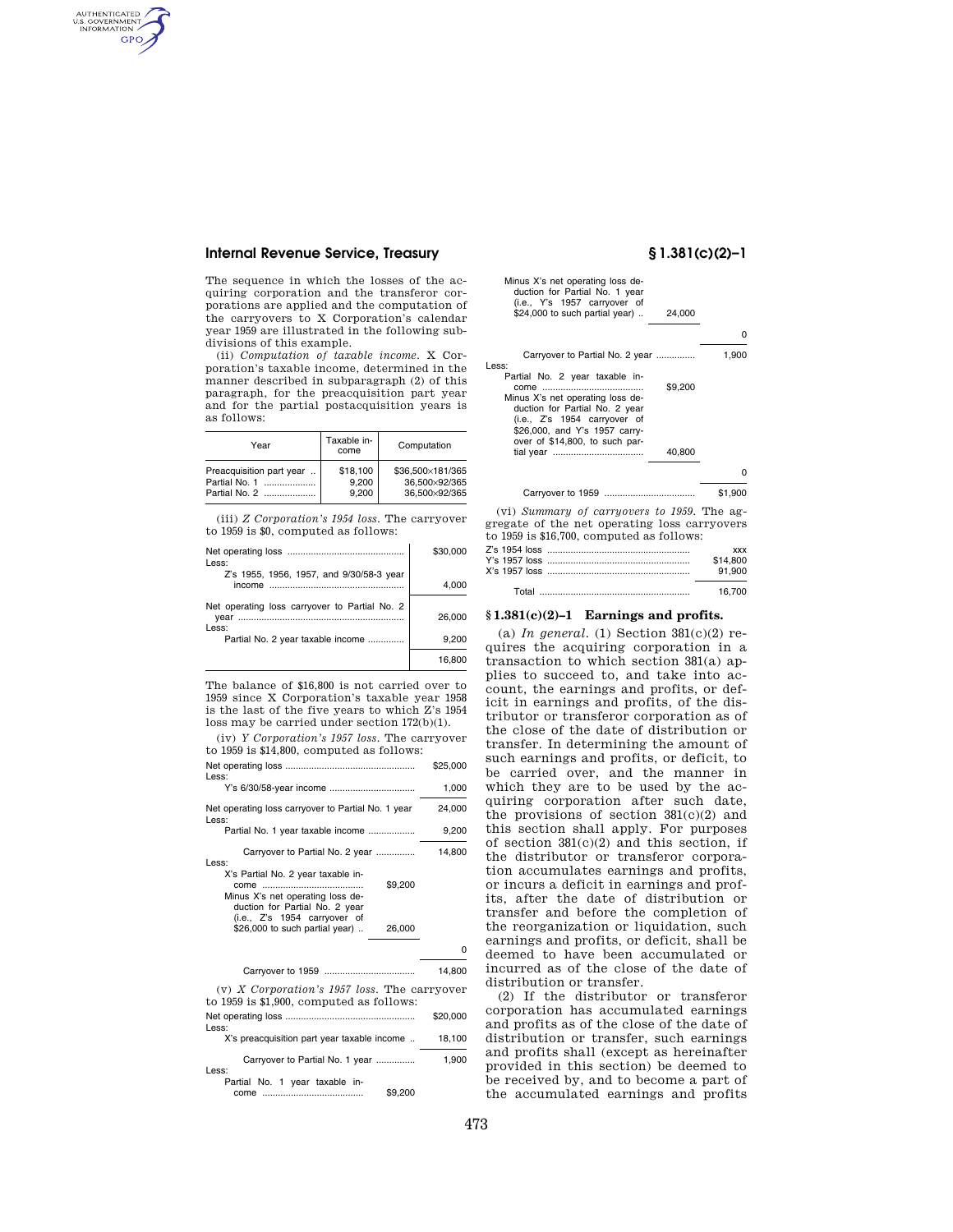# **Internal Revenue Service, Treasury § 1.381(c)(2)–1**

AUTHENTICATED<br>U.S. GOVERNMENT<br>INFORMATION **GPO** 

> The sequence in which the losses of the acquiring corporation and the transferor corporations are applied and the computation of the carryovers to X Corporation's calendar year 1959 are illustrated in the following subdivisions of this example.

> (ii) *Computation of taxable income.* X Corporation's taxable income, determined in the manner described in subparagraph (2) of this paragraph, for the preacquisition part year and for the partial postacquisition years is as follows:

| Year                     | Taxable in-<br>come | Computation      |
|--------------------------|---------------------|------------------|
| Preacquisition part year | \$18,100            | \$36.500×181/365 |
| Partial No. 1            | 9.200               | 36.500×92/365    |
| Partial No. 2            | 9.200               | 36,500×92/365    |

(iii) *Z Corporation's 1954 loss.* The carryover to 1959 is \$0, computed as follows:

| Less:                                                          | \$30,000 |
|----------------------------------------------------------------|----------|
| Z's 1955, 1956, 1957, and 9/30/58-3 year<br>income             | 4.000    |
| Net operating loss carryover to Partial No. 2<br>vear<br>Less: | 26,000   |
| Partial No. 2 year taxable income                              | 9.200    |
|                                                                | 16.800   |

The balance of \$16,800 is not carried over to 1959 since X Corporation's taxable year 1958 is the last of the five years to which Z's 1954 loss may be carried under section 172(b)(1).

(iv) *Y Corporation's 1957 loss.* The carryover to 1959 is \$14,800, computed as follows:

Net operating loss .................................................. \$25,000 Less: Y's 6/30/58-year income ................................. 1,000 Net operating loss carryover to Partial No. 1 year 24,000 Les Partial No. 1 year taxable income .................. 9,200 Carryover to Partial No. 2 year ............... 14,800 Less: X's Partial No. 2 year taxable income ....................................... \$9,200 Minus X's net operating loss deduction for Partial No. 2 year (i.e., Z's 1954 carryover of \$26,000 to such partial year) .. 26,000 0 Carryover to 1959 ................................... 14,800 (v) *X Corporation's 1957 loss.* The carryover to 1959 is \$1,900, computed as follows: Net operating loss .................................................. \$20,000 Less: X's preacquisition part year taxable income .. 18,100 Carryover to Partial No. 1 year ............... 1,900 Less: Partial No. 1 year taxable in-

come ....................................... \$9,200

| Minus X's net operating loss de-<br>duction for Partial No. 1 year<br>(i.e., Y's 1957 carryover of<br>\$24,000 to such partial year)<br>24,000                                   |         |
|----------------------------------------------------------------------------------------------------------------------------------------------------------------------------------|---------|
|                                                                                                                                                                                  | O       |
| Carryover to Partial No. 2 year<br>ess:<br>Partial No. 2 year taxable in-                                                                                                        | 1,900   |
| \$9,200<br>Minus X's net operating loss de-<br>duction for Partial No. 2 year<br>(i.e., Z's 1954 carryover of<br>\$26,000, and Y's 1957 carry-<br>over of \$14,800, to such par- |         |
| 40,800                                                                                                                                                                           |         |
|                                                                                                                                                                                  | o       |
|                                                                                                                                                                                  | \$1,900 |
| (vi) Summary of carryovers to 1959. The ag-                                                                                                                                      |         |

Less:

gregate of the net operating loss carryovers to 1959 is \$16,700, computed as follows: Z's 1954 loss ....................................................... xxx Y's 1957 loss<br>X's 1957 loss

| X's 1957 loss | 91,900 |
|---------------|--------|
|               | 16.700 |

# **§ 1.381(c)(2)–1 Earnings and profits.**

(a) *In general.* (1) Section  $381(c)(2)$  requires the acquiring corporation in a transaction to which section 381(a) applies to succeed to, and take into account, the earnings and profits, or deficit in earnings and profits, of the distributor or transferor corporation as of the close of the date of distribution or transfer. In determining the amount of such earnings and profits, or deficit, to be carried over, and the manner in which they are to be used by the acquiring corporation after such date, the provisions of section 381(c)(2) and this section shall apply. For purposes of section  $381(c)(2)$  and this section, if the distributor or transferor corporation accumulates earnings and profits, or incurs a deficit in earnings and profits, after the date of distribution or transfer and before the completion of the reorganization or liquidation, such earnings and profits, or deficit, shall be deemed to have been accumulated or incurred as of the close of the date of distribution or transfer.

(2) If the distributor or transferor corporation has accumulated earnings and profits as of the close of the date of distribution or transfer, such earnings and profits shall (except as hereinafter provided in this section) be deemed to be received by, and to become a part of the accumulated earnings and profits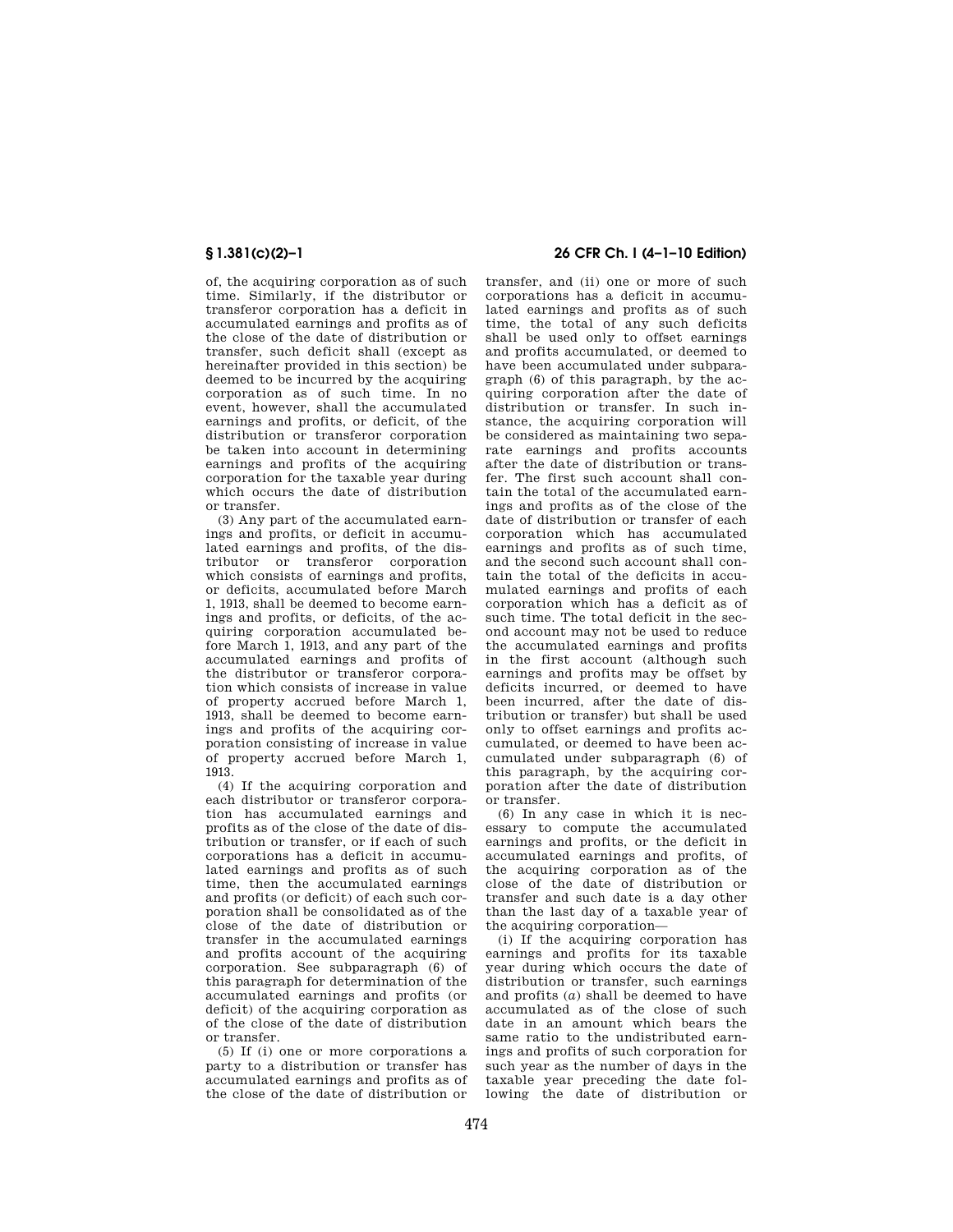of, the acquiring corporation as of such time. Similarly, if the distributor or transferor corporation has a deficit in accumulated earnings and profits as of the close of the date of distribution or transfer, such deficit shall (except as hereinafter provided in this section) be deemed to be incurred by the acquiring corporation as of such time. In no event, however, shall the accumulated earnings and profits, or deficit, of the distribution or transferor corporation be taken into account in determining earnings and profits of the acquiring corporation for the taxable year during which occurs the date of distribution or transfer.

(3) Any part of the accumulated earnings and profits, or deficit in accumulated earnings and profits, of the distributor or transferor corporation which consists of earnings and profits, or deficits, accumulated before March 1, 1913, shall be deemed to become earnings and profits, or deficits, of the acquiring corporation accumulated before March 1, 1913, and any part of the accumulated earnings and profits of the distributor or transferor corporation which consists of increase in value of property accrued before March 1, 1913, shall be deemed to become earnings and profits of the acquiring corporation consisting of increase in value of property accrued before March 1, 1913.

(4) If the acquiring corporation and each distributor or transferor corporation has accumulated earnings and profits as of the close of the date of distribution or transfer, or if each of such corporations has a deficit in accumulated earnings and profits as of such time, then the accumulated earnings and profits (or deficit) of each such corporation shall be consolidated as of the close of the date of distribution or transfer in the accumulated earnings and profits account of the acquiring corporation. See subparagraph (6) of this paragraph for determination of the accumulated earnings and profits (or deficit) of the acquiring corporation as of the close of the date of distribution or transfer.

(5) If (i) one or more corporations a party to a distribution or transfer has accumulated earnings and profits as of the close of the date of distribution or

# **§ 1.381(c)(2)–1 26 CFR Ch. I (4–1–10 Edition)**

transfer, and (ii) one or more of such corporations has a deficit in accumulated earnings and profits as of such time, the total of any such deficits shall be used only to offset earnings and profits accumulated, or deemed to have been accumulated under subparagraph (6) of this paragraph, by the acquiring corporation after the date of distribution or transfer. In such instance, the acquiring corporation will be considered as maintaining two separate earnings and profits accounts after the date of distribution or transfer. The first such account shall contain the total of the accumulated earnings and profits as of the close of the date of distribution or transfer of each corporation which has accumulated earnings and profits as of such time, and the second such account shall contain the total of the deficits in accumulated earnings and profits of each corporation which has a deficit as of such time. The total deficit in the second account may not be used to reduce the accumulated earnings and profits in the first account (although such earnings and profits may be offset by deficits incurred, or deemed to have been incurred, after the date of distribution or transfer) but shall be used only to offset earnings and profits accumulated, or deemed to have been accumulated under subparagraph (6) of this paragraph, by the acquiring corporation after the date of distribution or transfer.

(6) In any case in which it is necessary to compute the accumulated earnings and profits, or the deficit in accumulated earnings and profits, of the acquiring corporation as of the close of the date of distribution or transfer and such date is a day other than the last day of a taxable year of the acquiring corporation—

(i) If the acquiring corporation has earnings and profits for its taxable year during which occurs the date of distribution or transfer, such earnings and profits (*a*) shall be deemed to have accumulated as of the close of such date in an amount which bears the same ratio to the undistributed earnings and profits of such corporation for such year as the number of days in the taxable year preceding the date following the date of distribution or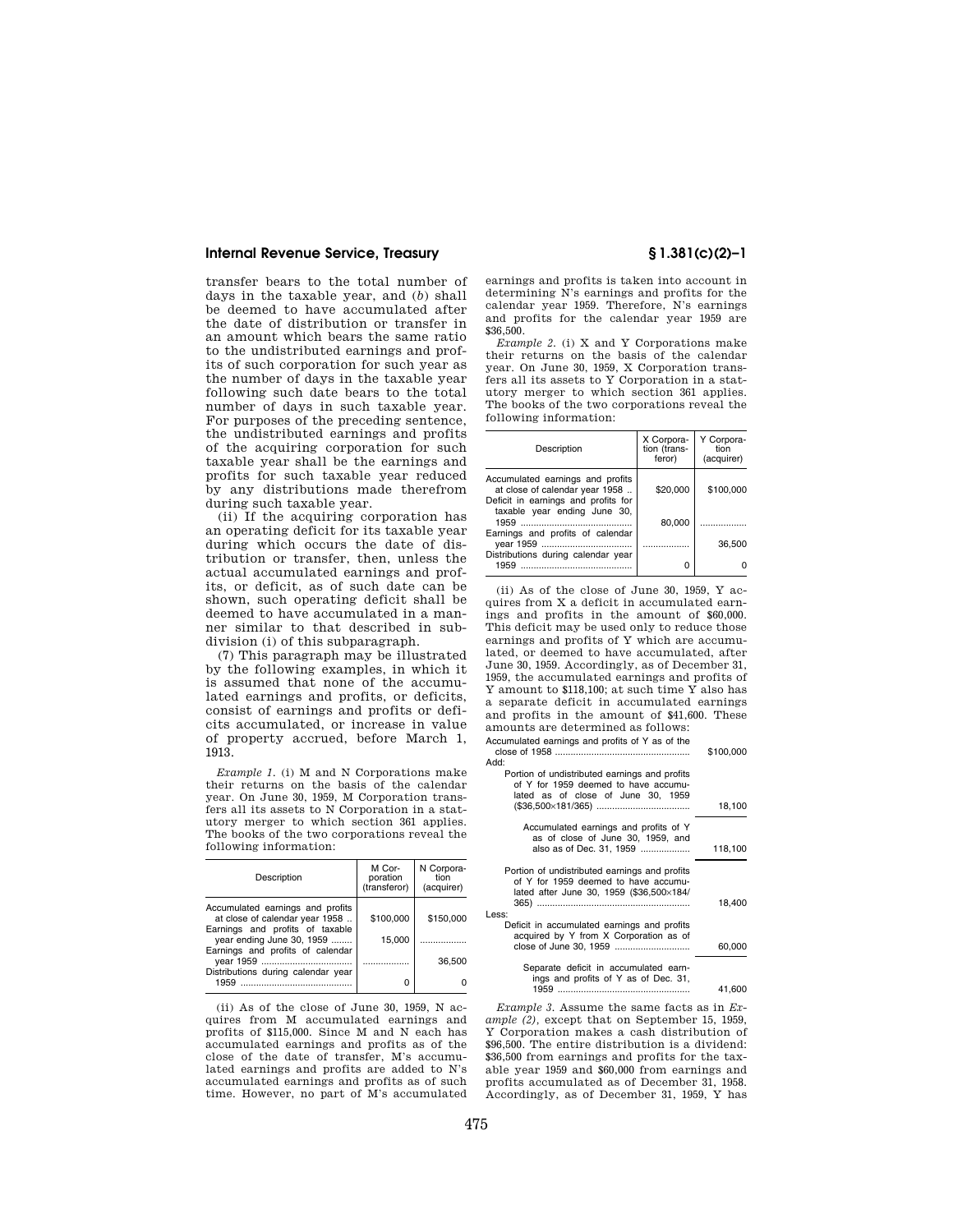### **Internal Revenue Service, Treasury § 1.381(c)(2)–1**

transfer bears to the total number of days in the taxable year, and (*b*) shall be deemed to have accumulated after the date of distribution or transfer in an amount which bears the same ratio to the undistributed earnings and profits of such corporation for such year as the number of days in the taxable year following such date bears to the total number of days in such taxable year. For purposes of the preceding sentence, the undistributed earnings and profits of the acquiring corporation for such taxable year shall be the earnings and profits for such taxable year reduced by any distributions made therefrom during such taxable year.

(ii) If the acquiring corporation has an operating deficit for its taxable year during which occurs the date of distribution or transfer, then, unless the actual accumulated earnings and profits, or deficit, as of such date can be shown, such operating deficit shall be deemed to have accumulated in a manner similar to that described in subdivision (i) of this subparagraph.

(7) This paragraph may be illustrated by the following examples, in which it is assumed that none of the accumulated earnings and profits, or deficits, consist of earnings and profits or deficits accumulated, or increase in value of property accrued, before March 1, 1913.

*Example 1.* (i) M and N Corporations make their returns on the basis of the calendar year. On June 30, 1959, M Corporation transfers all its assets to N Corporation in a statutory merger to which section 361 applies. The books of the two corporations reveal the following information:

| Description                                                                                           | M Cor-<br>poration<br>(transferor) | N Corpora-<br>tion<br>(acquirer) |
|-------------------------------------------------------------------------------------------------------|------------------------------------|----------------------------------|
| Accumulated earnings and profits<br>at close of calendar year 1958<br>Earnings and profits of taxable | \$100,000                          | \$150,000                        |
| year ending June 30, 1959<br>Earnings and profits of calendar                                         | 15.000                             |                                  |
|                                                                                                       |                                    | 36,500                           |
| Distributions during calendar year<br>1959                                                            | n                                  |                                  |

(ii) As of the close of June  $30, 1959, N$  acquires from M accumulated earnings and profits of \$115,000. Since M and N each has accumulated earnings and profits as of the close of the date of transfer, M's accumulated earnings and profits are added to N's accumulated earnings and profits as of such time. However, no part of M's accumulated

earnings and profits is taken into account in determining N's earnings and profits for the calendar year 1959. Therefore, N's earnings and profits for the calendar year 1959 are \$36,500.

*Example 2.* (i) X and Y Corporations make their returns on the basis of the calendar year. On June 30, 1959, X Corporation transfers all its assets to Y Corporation in a statutory merger to which section 361 applies. The books of the two corporations reveal the following information:

| Description                                                                                               | X Corpora-<br>tion (trans-<br>feror) | Y Corpora-<br>tion<br>(acquirer) |
|-----------------------------------------------------------------------------------------------------------|--------------------------------------|----------------------------------|
| Accumulated earnings and profits<br>at close of calendar year 1958<br>Deficit in earnings and profits for | \$20,000                             | \$100,000                        |
| taxable year ending June 30,<br>Earnings and profits of calendar                                          | 80.000                               |                                  |
| vear 1959                                                                                                 |                                      | 36,500                           |
| Distributions during calendar year<br>1959                                                                |                                      |                                  |

(ii) As of the close of June 30, 1959, Y acquires from X a deficit in accumulated earnings and profits in the amount of \$60,000. This deficit may be used only to reduce those earnings and profits of Y which are accumulated, or deemed to have accumulated, after June 30, 1959. Accordingly, as of December 31, 1959, the accumulated earnings and profits of Y amount to \$118,100; at such time Y also has a separate deficit in accumulated earnings and profits in the amount of \$41,600. These amounts are determined as follows: Accumulated earnings and profits of Y as of the

|                                                                                                                                   | \$100,000 |
|-----------------------------------------------------------------------------------------------------------------------------------|-----------|
| Add:                                                                                                                              |           |
| Portion of undistributed earnings and profits                                                                                     |           |
| of Y for 1959 deemed to have accumu-<br>lated as of close of June 30, 1959                                                        |           |
|                                                                                                                                   | 18,100    |
| Accumulated earnings and profits of Y<br>as of close of June 30, 1959, and                                                        |           |
| also as of Dec. 31, 1959                                                                                                          | 118,100   |
| Portion of undistributed earnings and profits<br>of Y for 1959 deemed to have accumu-<br>lated after June 30, 1959 (\$36,500×184/ |           |
|                                                                                                                                   | 18,400    |
| Less:<br>Deficit in accumulated earnings and profits<br>acquired by Y from X Corporation as of                                    |           |
|                                                                                                                                   | 60,000    |
| Separate deficit in accumulated earn-<br>ings and profits of Y as of Dec. 31,                                                     |           |
|                                                                                                                                   | 41.600    |

*Example 3.* Assume the same facts as in *Example (2),* except that on September 15, 1959, Y Corporation makes a cash distribution of \$96,500. The entire distribution is a dividend: \$36,500 from earnings and profits for the taxable year 1959 and \$60,000 from earnings and profits accumulated as of December 31, 1958. Accordingly, as of December 31, 1959, Y has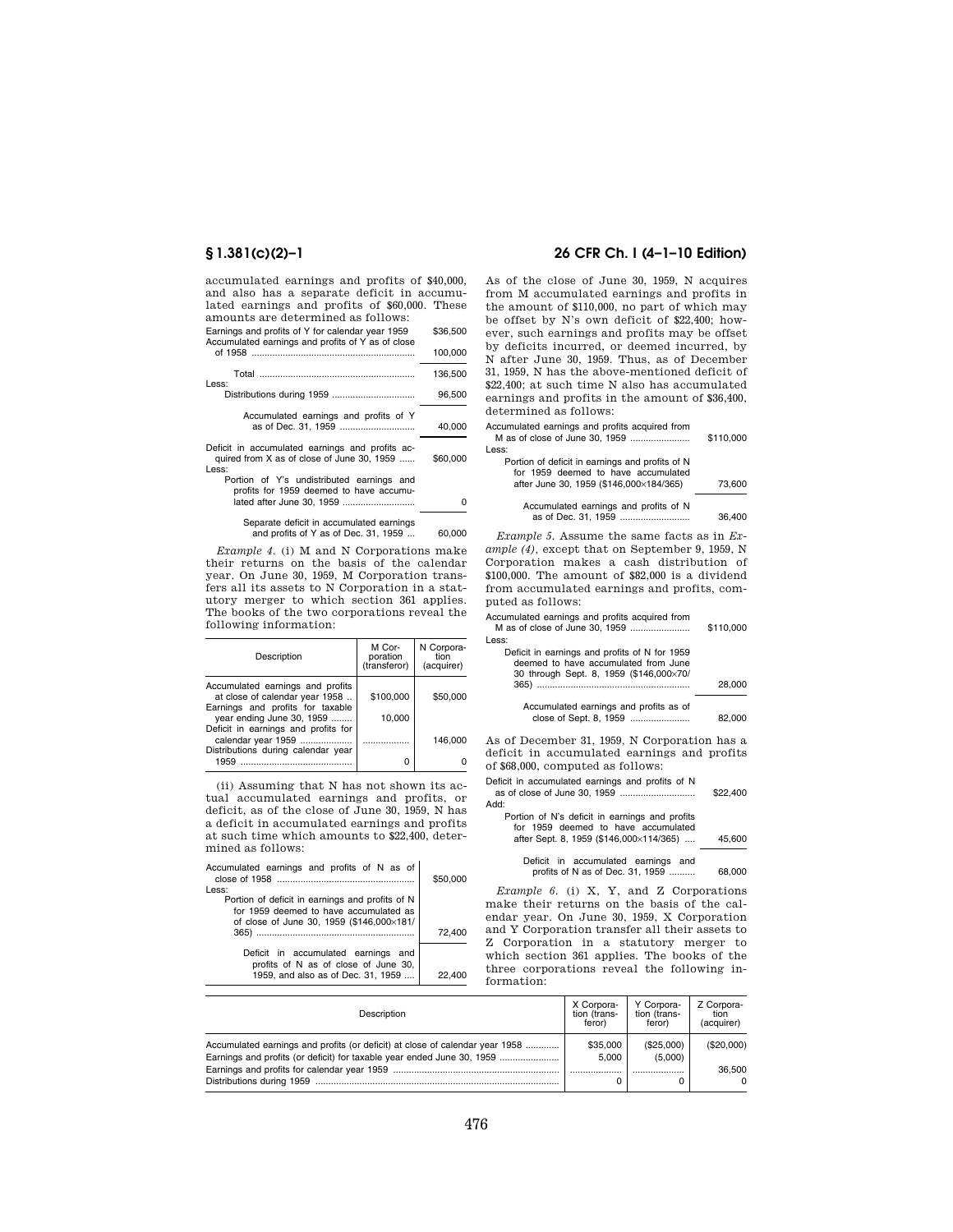accumulated earnings and profits of \$40,000, and also has a separate deficit in accumulated earnings and profits of \$60,000. These amounts are determined as follows:

| Earnings and profits of Y for calendar year 1959<br>Accumulated earnings and profits of Y as of close | \$36,500 |
|-------------------------------------------------------------------------------------------------------|----------|
|                                                                                                       | 100,000  |
| Less:                                                                                                 | 136.500  |
|                                                                                                       | 96.500   |
| Accumulated earnings and profits of Y                                                                 | 40.000   |
| Deficit in accumulated earnings and profits ac-<br>quired from X as of close of June 30, 1959         | \$60,000 |
| Less:<br>Portion of Y's undistributed earnings and                                                    |          |

| FUILUI UI I S UILUISIILUULEU EAIIIIILUS AIIU |   |
|----------------------------------------------|---|
| profits for 1959 deemed to have accumu-      |   |
|                                              | 0 |
|                                              |   |
| Senarate deficit in accumulated earnings     |   |

Separate deficit in accumulated earnings and profits of Y as of Dec. 31, 1959 ... 60,000

*Example 4.* (i) M and N Corporations make their returns on the basis of the calendar year. On June 30, 1959, M Corporation transfers all its assets to N Corporation in a statutory merger to which section 361 applies. The books of the two corporations reveal the following information:

| Description                                                                                            | M Cor-<br>poration<br>(transferor) | N Corpora-<br>tion<br>(acquirer) |
|--------------------------------------------------------------------------------------------------------|------------------------------------|----------------------------------|
| Accumulated earnings and profits<br>at close of calendar year 1958<br>Earnings and profits for taxable | \$100,000                          | \$50,000                         |
| year ending June 30, 1959<br>Deficit in earnings and profits for                                       | 10.000                             |                                  |
| calendar year 1959                                                                                     |                                    | 146.000                          |
| Distributions during calendar year<br>1959                                                             | 0                                  |                                  |

(ii) Assuming that N has not shown its actual accumulated earnings and profits, or deficit, as of the close of June 30, 1959, N has a deficit in accumulated earnings and profits at such time which amounts to \$22,400, determined as follows:

l.

| Accumulated earnings and profits of N as of     | \$50,000 |
|-------------------------------------------------|----------|
| Less:                                           |          |
| Portion of deficit in earnings and profits of N |          |
| for 1959 deemed to have accumulated as          |          |
| of close of June 30, 1959 (\$146,000×181/       |          |
|                                                 | 72.400   |
|                                                 |          |
| Deficit in accumulated earnings and             |          |
| profits of N as of close of June 30,            |          |
| 1959, and also as of Dec. 31, 1959              | 22,400   |

# **§ 1.381(c)(2)–1 26 CFR Ch. I (4–1–10 Edition)**

As of the close of June 30, 1959, N acquires from M accumulated earnings and profits in the amount of \$110,000, no part of which may be offset by N's own deficit of \$22,400; however, such earnings and profits may be offset by deficits incurred, or deemed incurred, by N after June 30, 1959. Thus, as of December 31, 1959, N has the above-mentioned deficit of \$22,400; at such time N also has accumulated earnings and profits in the amount of \$36,400, determined as follows:

Accumulated earnings and profits acquired from M as of close of June 30, 1959 ....................... \$110,000 Less:

| .                                                                                      |        |
|----------------------------------------------------------------------------------------|--------|
| Portion of deficit in earnings and profits of N<br>for 1959 deemed to have accumulated |        |
| after June 30, 1959 (\$146,000×184/365)                                                | 73,600 |
|                                                                                        |        |
| Accumulated earnings and profits of N                                                  |        |
| as of Dec. 31, 1959                                                                    | 36.400 |
|                                                                                        |        |

*Example 5.* Assume the same facts as in *Example (4),* except that on September 9, 1959, N Corporation makes a cash distribution of \$100,000. The amount of \$82,000 is a dividend from accumulated earnings and profits, computed as follows:

Accumulated earnings and profits acquired from M as of close of June 30, 1959 ....................... \$110,000 Less:

| Deficit in earnings and profits of N for 1959<br>deemed to have accumulated from June<br>30 through Sept. 8, 1959 (\$146,000×70/ | 28,000 |
|----------------------------------------------------------------------------------------------------------------------------------|--------|
| Accumulated earnings and profits as of<br>close of Sept. 8, 1959                                                                 | 82.000 |

As of December 31, 1959, N Corporation has a deficit in accumulated earnings and profits of \$68,000, computed as follows:

Deficit in accumulated earnings and profits of N as of close of June 30, 1959 ............................. \$22,400 Add:

Portion of N's deficit in earnings and profits for 1959 deemed to have accumulated

|  | after Sept. 8, 1959 (\$146,000×114/365) |  | 45.600 |
|--|-----------------------------------------|--|--------|
|  | Deficit in accumulated earnings and     |  |        |

Deficit in accumulated earnings and profits of N as of Dec. 31, 1959 .......... 68,000

*Example 6.* (i) X, Y, and Z Corporations make their returns on the basis of the calendar year. On June 30, 1959, X Corporation and Y Corporation transfer all their assets to Z Corporation in a statutory merger to which section 361 applies. The books of the three corporations reveal the following information:

| Description                                                                  | X Corpora-   | Y Corpora-   | Z Corpora- |
|------------------------------------------------------------------------------|--------------|--------------|------------|
|                                                                              | tion (trans- | tion (trans- | tion       |
|                                                                              | feror)       | feror)       | (acquirer) |
| Accumulated earnings and profits (or deficit) at close of calendar year 1958 | \$35,000     | (\$25,000)   | (\$20,000) |
| Earnings and profits (or deficit) for taxable year ended June 30, 1959       | 5.000        | (5,000)      |            |
|                                                                              |              |              | 36.500     |
|                                                                              |              |              | $\Omega$   |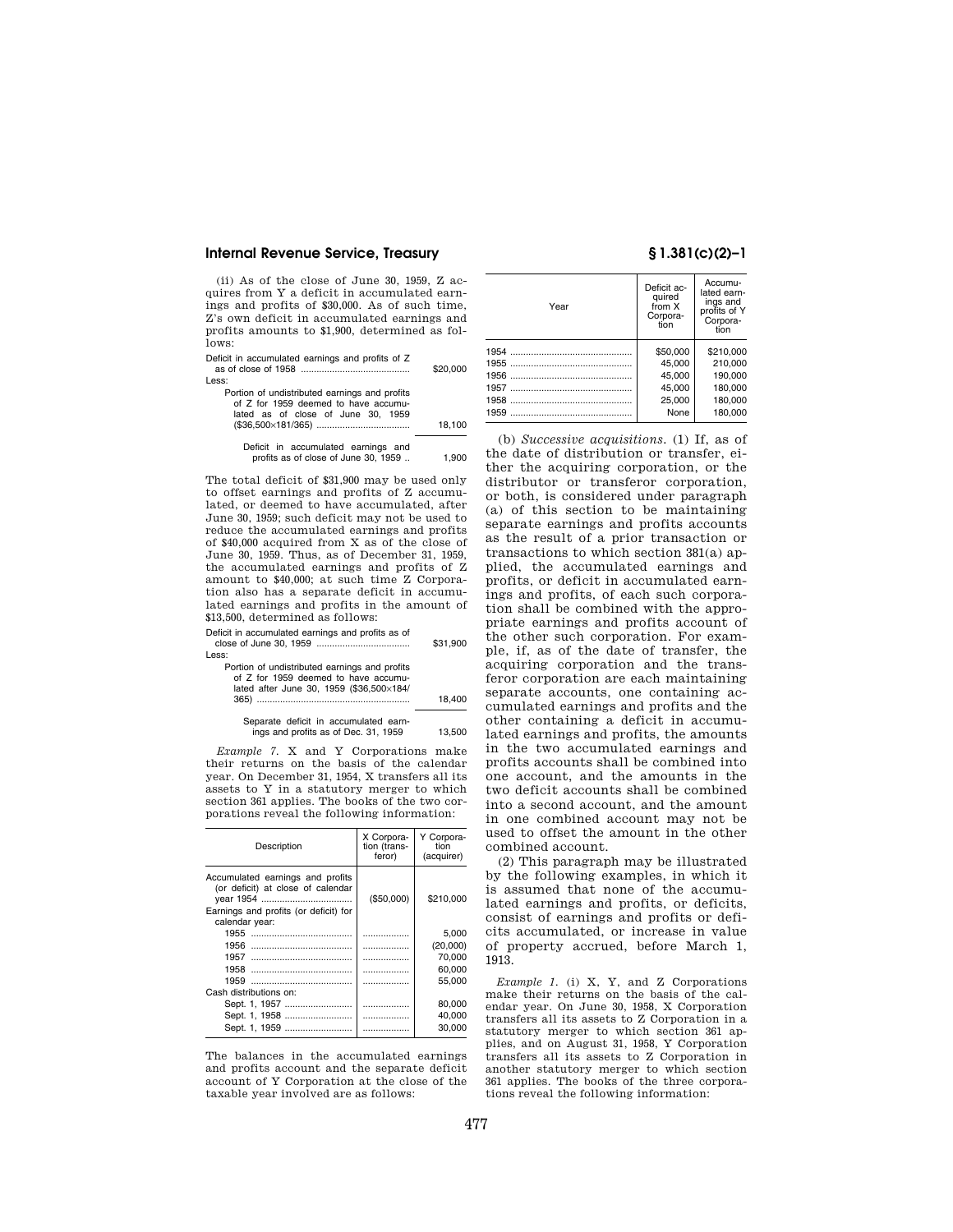### **Internal Revenue Service, Treasury § 1.381(c)(2)–1**

(ii) As of the close of June 30, 1959, Z acquires from Y a deficit in accumulated earnings and profits of \$30,000. As of such time, Z's own deficit in accumulated earnings and profits amounts to \$1,900, determined as follows:

Deficit in accumulated earnings and profits of Z as of close of 1958 .......................................... \$20,000 Less:

| s.                                            |        |
|-----------------------------------------------|--------|
| Portion of undistributed earnings and profits |        |
| of Z for 1959 deemed to have accumu-          |        |
| lated as of close of June 30, 1959            |        |
|                                               | 18.100 |
|                                               |        |
| Deficit in accumulated earnings and           |        |

profits as of close of June  $30, 1959$   $\dots$  1,900

The total deficit of \$31,900 may be used only to offset earnings and profits of Z accumulated, or deemed to have accumulated, after June 30, 1959; such deficit may not be used to reduce the accumulated earnings and profits of \$40,000 acquired from X as of the close of June 30, 1959. Thus, as of December 31, 1959, the accumulated earnings and profits of Z amount to \$40,000; at such time Z Corporation also has a separate deficit in accumulated earnings and profits in the amount of \$13,500, determined as follows:

Deficit in accumulated earnings and profits as of close of June 30, 1959 .................................... \$31,900 Less:

| Portion of undistributed earnings and profits |        |
|-----------------------------------------------|--------|
| of Z for 1959 deemed to have accumu-          |        |
| lated after June 30, 1959 (\$36,500×184/      |        |
|                                               | 18.400 |
|                                               |        |
| Separate deficit in accumulated earn-         |        |

 $i$ ngs and profits as of Dec. 31, 1959 13,500

*Example 7.* X and Y Corporations make their returns on the basis of the calendar year. On December 31, 1954, X transfers all its assets to Y in a statutory merger to which section 361 applies. The books of the two corporations reveal the following information:

| Description                                                                                                                      | X Corpora-<br>tion (trans-<br>feror) | Y Corpora-<br>tion<br>(acquirer) |
|----------------------------------------------------------------------------------------------------------------------------------|--------------------------------------|----------------------------------|
| Accumulated earnings and profits<br>(or deficit) at close of calendar<br>Earnings and profits (or deficit) for<br>calendar year: | (\$50,000)                           | \$210,000                        |
| 1955<br>                                                                                                                         |                                      | 5.000                            |
| 1956                                                                                                                             | .                                    | (20,000)                         |
| 1957                                                                                                                             | .                                    | 70.000                           |
| 1958                                                                                                                             | .                                    | 60,000                           |
| 1959<br>                                                                                                                         | .                                    | 55.000                           |
| Cash distributions on:                                                                                                           |                                      |                                  |
| Sept. 1, 1957                                                                                                                    |                                      | 80.000                           |
| Sept. 1, 1958                                                                                                                    | .                                    | 40.000                           |
| Sept. 1, 1959                                                                                                                    |                                      | 30.000                           |

The balances in the accumulated earnings and profits account and the separate deficit account of Y Corporation at the close of the taxable year involved are as follows:

| Year | Deficit ac-<br>quired<br>from X<br>Corpora-<br>tion | Accumu-<br>lated earn-<br>inas and<br>profits of Y<br>Corpora-<br>tion |
|------|-----------------------------------------------------|------------------------------------------------------------------------|
| 1954 | \$50,000                                            | \$210,000                                                              |
| 1955 | 45.000                                              | 210.000                                                                |
| 1956 | 45.000                                              | 190.000                                                                |
| 1957 | 45.000                                              | 180.000                                                                |
| 1958 | 25.000                                              | 180,000                                                                |
| 1959 | None                                                | 180.000                                                                |

(b) *Successive acquisitions.* (1) If, as of the date of distribution or transfer, either the acquiring corporation, or the distributor or transferor corporation, or both, is considered under paragraph (a) of this section to be maintaining separate earnings and profits accounts as the result of a prior transaction or transactions to which section 381(a) applied, the accumulated earnings and profits, or deficit in accumulated earnings and profits, of each such corporation shall be combined with the appropriate earnings and profits account of the other such corporation. For example, if, as of the date of transfer, the acquiring corporation and the transferor corporation are each maintaining separate accounts, one containing accumulated earnings and profits and the other containing a deficit in accumulated earnings and profits, the amounts in the two accumulated earnings and profits accounts shall be combined into one account, and the amounts in the two deficit accounts shall be combined into a second account, and the amount in one combined account may not be used to offset the amount in the other combined account.

(2) This paragraph may be illustrated by the following examples, in which it is assumed that none of the accumulated earnings and profits, or deficits, consist of earnings and profits or deficits accumulated, or increase in value of property accrued, before March 1, 1913.

*Example 1.* (i) X, Y, and Z Corporations make their returns on the basis of the calendar year. On June 30, 1958, X Corporation transfers all its assets to Z Corporation in a statutory merger to which section 361 applies, and on August 31, 1958, Y Corporation transfers all its assets to Z Corporation in another statutory merger to which section 361 applies. The books of the three corporations reveal the following information: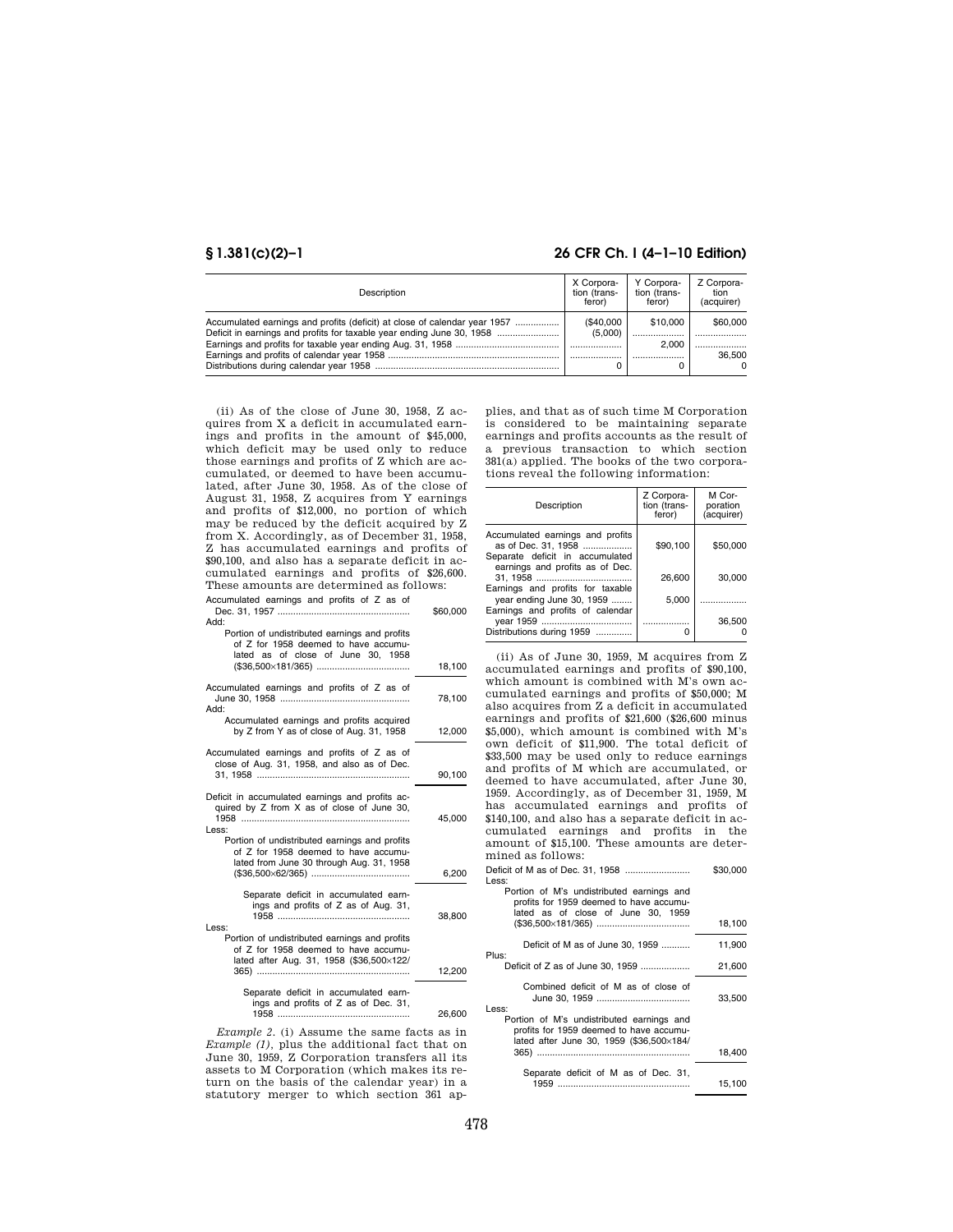# **§ 1.381(c)(2)–1 26 CFR Ch. I (4–1–10 Edition)**

| Description                                                                                                                                        | X Corpora-<br>tion (trans-<br>feror) | Y Corpora-<br>tion (trans-<br>feror) | Z Corpora-<br>tion<br>(acquirer) |
|----------------------------------------------------------------------------------------------------------------------------------------------------|--------------------------------------|--------------------------------------|----------------------------------|
| Accumulated earnings and profits (deficit) at close of calendar year 1957<br>Deficit in earnings and profits for taxable year ending June 30, 1958 | (\$40,000<br>(5.000)                 | \$10,000<br>2.000                    | \$60,000<br><br>36.500           |
|                                                                                                                                                    |                                      |                                      | $\Omega$                         |

(ii) As of the close of June 30, 1958, Z acquires from X a deficit in accumulated earnings and profits in the amount of \$45,000, which deficit may be used only to reduce those earnings and profits of Z which are accumulated, or deemed to have been accumulated, after June 30, 1958. As of the close of August 31, 1958, Z acquires from Y earnings and profits of \$12,000, no portion of which may be reduced by the deficit acquired by Z from X. Accordingly, as of December 31, 1958, Z has accumulated earnings and profits of \$90,100, and also has a separate deficit in accumulated earnings and profits of \$26,600. These amounts are determined as follows: Accumulated earnings and profits of Z as of

| Accumulated earnings and pronts or z as or                                                 | \$60,000 |
|--------------------------------------------------------------------------------------------|----------|
| Add:                                                                                       |          |
| Portion of undistributed earnings and profits                                              |          |
| of Z for 1958 deemed to have accumu-<br>lated as of close of June 30, 1958                 |          |
|                                                                                            | 18,100   |
|                                                                                            |          |
| Accumulated earnings and profits of Z as of                                                |          |
|                                                                                            | 78,100   |
| Add:                                                                                       |          |
| Accumulated earnings and profits acquired                                                  |          |
| by Z from Y as of close of Aug. 31, 1958                                                   | 12,000   |
|                                                                                            |          |
| Accumulated earnings and profits of Z as of<br>close of Aug. 31, 1958, and also as of Dec. |          |
|                                                                                            | 90,100   |
|                                                                                            |          |
| Deficit in accumulated earnings and profits ac-                                            |          |
| quired by Z from X as of close of June 30,                                                 |          |
|                                                                                            | 45.000   |
| Less:                                                                                      |          |
| Portion of undistributed earnings and profits                                              |          |
| of Z for 1958 deemed to have accumu-                                                       |          |
| lated from June 30 through Aug. 31, 1958                                                   |          |
|                                                                                            | 6,200    |
| Separate deficit in accumulated earn-                                                      |          |
| ings and profits of Z as of Aug. 31,                                                       |          |
|                                                                                            | 38,800   |
| Less:                                                                                      |          |
| Portion of undistributed earnings and profits                                              |          |
| of Z for 1958 deemed to have accumu-                                                       |          |
| lated after Aug. 31, 1958 (\$36,500×122/                                                   |          |
|                                                                                            | 12,200   |
| Separate deficit in accumulated earn-                                                      |          |
| ings and profits of Z as of Dec. 31,                                                       |          |
|                                                                                            | 26,600   |
|                                                                                            |          |

*Example 2.* (i) Assume the same facts as in *Example (1),* plus the additional fact that on June 30, 1959, Z Corporation transfers all its assets to M Corporation (which makes its return on the basis of the calendar year) in a statutory merger to which section 361 applies, and that as of such time M Corporation is considered to be maintaining separate earnings and profits accounts as the result of a previous transaction to which section 381(a) applied. The books of the two corporations reveal the following information:

| Description                                                                                                                   | Z Corpora-<br>tion (trans-<br>feror) | M Cor-<br>poration<br>(acquirer) |
|-------------------------------------------------------------------------------------------------------------------------------|--------------------------------------|----------------------------------|
| Accumulated earnings and profits<br>as of Dec. 31, 1958<br>Separate deficit in accumulated<br>earnings and profits as of Dec. | \$90.100                             | \$50,000                         |
|                                                                                                                               | 26,600                               | 30,000                           |
| Earnings and profits for taxable<br>year ending June 30, 1959<br>Earnings and profits of calendar                             | 5.000                                | .                                |
| Distributions during 1959                                                                                                     |                                      | 36,500                           |

(ii) As of June 30, 1959, M acquires from Z accumulated earnings and profits of \$90,100, which amount is combined with M's own accumulated earnings and profits of \$50,000; M also acquires from Z a deficit in accumulated earnings and profits of \$21,600 (\$26,600 minus \$5,000), which amount is combined with M's own deficit of \$11,900. The total deficit of \$33,500 may be used only to reduce earnings and profits of M which are accumulated, or deemed to have accumulated, after June 30, 1959. Accordingly, as of December 31, 1959, M has accumulated earnings and profits of \$140,100, and also has a separate deficit in accumulated earnings and profits in the amount of \$15,100. These amounts are determined as follows: Deficit of M as of Dec. 31, 1958 ......................... \$30,000

| Less:                                                                                                                            |        |
|----------------------------------------------------------------------------------------------------------------------------------|--------|
| Portion of M's undistributed earnings and<br>profits for 1959 deemed to have accumu-<br>lated as of close of June 30, 1959       |        |
|                                                                                                                                  | 18,100 |
| Deficit of M as of June 30, 1959<br>Plus:                                                                                        | 11,900 |
|                                                                                                                                  | 21,600 |
| Combined deficit of M as of close of<br>Less:                                                                                    | 33,500 |
| Portion of M's undistributed earnings and<br>profits for 1959 deemed to have accumu-<br>lated after June 30, 1959 (\$36,500×184/ |        |
|                                                                                                                                  | 18.400 |
| Separate deficit of M as of Dec. 31,                                                                                             | 15,100 |